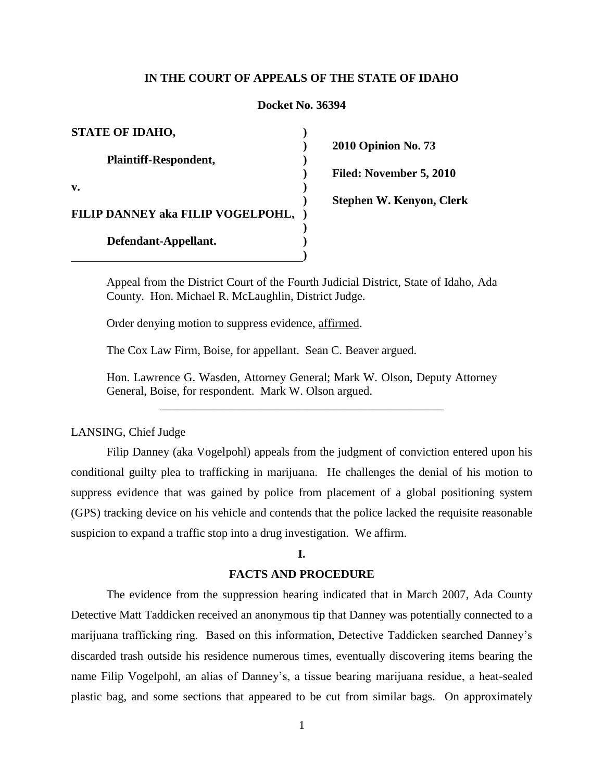## **IN THE COURT OF APPEALS OF THE STATE OF IDAHO**

## **Docket No. 36394**

| <b>STATE OF IDAHO,</b>            |  |
|-----------------------------------|--|
| <b>Plaintiff-Respondent,</b>      |  |
| v.                                |  |
| FILIP DANNEY aka FILIP VOGELPOHL, |  |
| Defendant-Appellant.              |  |
|                                   |  |

**2010 Opinion No. 73 Filed: November 5, 2010 Stephen W. Kenyon, Clerk**

Appeal from the District Court of the Fourth Judicial District, State of Idaho, Ada County. Hon. Michael R. McLaughlin, District Judge.

Order denying motion to suppress evidence, affirmed.

The Cox Law Firm, Boise, for appellant. Sean C. Beaver argued.

Hon. Lawrence G. Wasden, Attorney General; Mark W. Olson, Deputy Attorney General, Boise, for respondent. Mark W. Olson argued.

\_\_\_\_\_\_\_\_\_\_\_\_\_\_\_\_\_\_\_\_\_\_\_\_\_\_\_\_\_\_\_\_\_\_\_\_\_\_\_\_\_\_\_\_\_\_\_\_

## LANSING, Chief Judge

Filip Danney (aka Vogelpohl) appeals from the judgment of conviction entered upon his conditional guilty plea to trafficking in marijuana. He challenges the denial of his motion to suppress evidence that was gained by police from placement of a global positioning system (GPS) tracking device on his vehicle and contends that the police lacked the requisite reasonable suspicion to expand a traffic stop into a drug investigation. We affirm.

## **I.**

## **FACTS AND PROCEDURE**

The evidence from the suppression hearing indicated that in March 2007, Ada County Detective Matt Taddicken received an anonymous tip that Danney was potentially connected to a marijuana trafficking ring. Based on this information, Detective Taddicken searched Danney"s discarded trash outside his residence numerous times, eventually discovering items bearing the name Filip Vogelpohl, an alias of Danney"s, a tissue bearing marijuana residue, a heat-sealed plastic bag, and some sections that appeared to be cut from similar bags. On approximately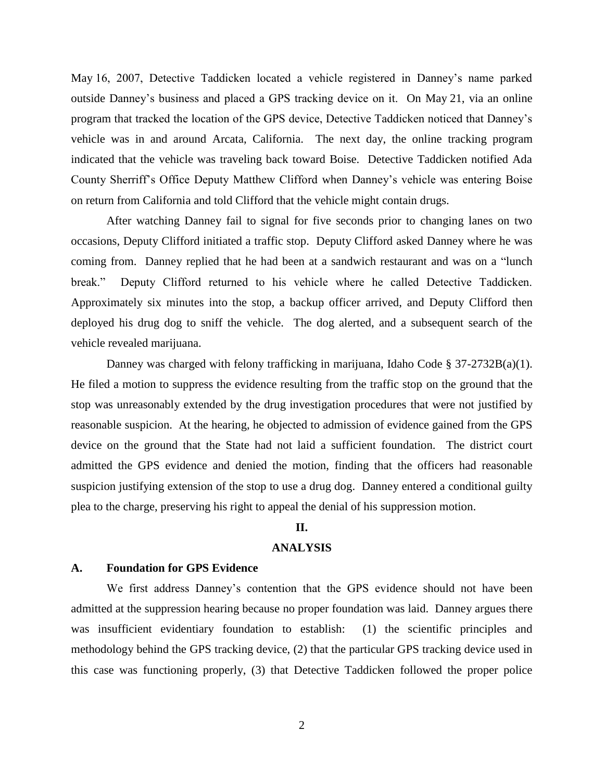May 16, 2007, Detective Taddicken located a vehicle registered in Danney"s name parked outside Danney"s business and placed a GPS tracking device on it. On May 21, via an online program that tracked the location of the GPS device, Detective Taddicken noticed that Danney"s vehicle was in and around Arcata, California. The next day, the online tracking program indicated that the vehicle was traveling back toward Boise. Detective Taddicken notified Ada County Sherriff"s Office Deputy Matthew Clifford when Danney"s vehicle was entering Boise on return from California and told Clifford that the vehicle might contain drugs.

After watching Danney fail to signal for five seconds prior to changing lanes on two occasions, Deputy Clifford initiated a traffic stop. Deputy Clifford asked Danney where he was coming from. Danney replied that he had been at a sandwich restaurant and was on a "lunch break." Deputy Clifford returned to his vehicle where he called Detective Taddicken. Approximately six minutes into the stop, a backup officer arrived, and Deputy Clifford then deployed his drug dog to sniff the vehicle. The dog alerted, and a subsequent search of the vehicle revealed marijuana.

Danney was charged with felony trafficking in marijuana, Idaho Code § 37-2732B(a)(1). He filed a motion to suppress the evidence resulting from the traffic stop on the ground that the stop was unreasonably extended by the drug investigation procedures that were not justified by reasonable suspicion. At the hearing, he objected to admission of evidence gained from the GPS device on the ground that the State had not laid a sufficient foundation. The district court admitted the GPS evidence and denied the motion, finding that the officers had reasonable suspicion justifying extension of the stop to use a drug dog. Danney entered a conditional guilty plea to the charge, preserving his right to appeal the denial of his suppression motion.

# **II.**

# **ANALYSIS**

#### **A. Foundation for GPS Evidence**

We first address Danney"s contention that the GPS evidence should not have been admitted at the suppression hearing because no proper foundation was laid. Danney argues there was insufficient evidentiary foundation to establish: (1) the scientific principles and methodology behind the GPS tracking device, (2) that the particular GPS tracking device used in this case was functioning properly, (3) that Detective Taddicken followed the proper police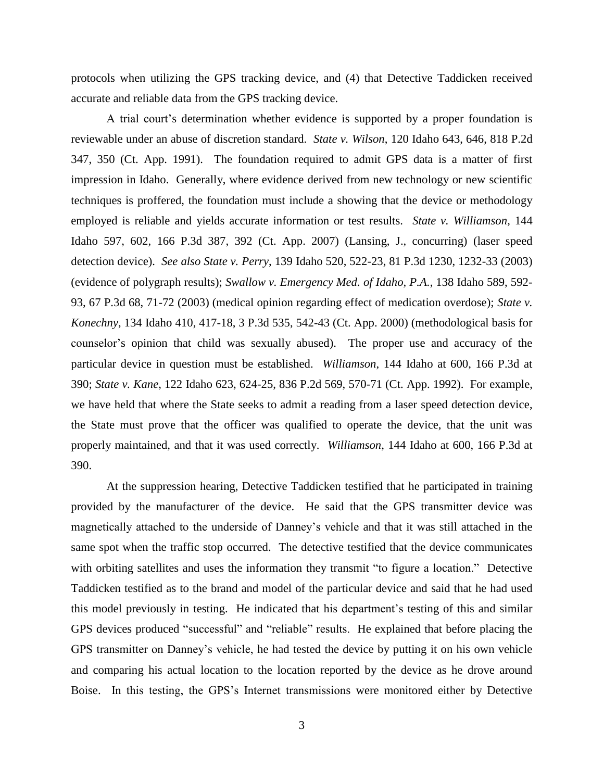protocols when utilizing the GPS tracking device, and (4) that Detective Taddicken received accurate and reliable data from the GPS tracking device.

A trial court's determination whether evidence is supported by a proper foundation is reviewable under an abuse of discretion standard. *State v. Wilson*, 120 Idaho 643, 646, 818 P.2d 347, 350 (Ct. App. 1991). The foundation required to admit GPS data is a matter of first impression in Idaho. Generally, where evidence derived from new technology or new scientific techniques is proffered, the foundation must include a showing that the device or methodology employed is reliable and yields accurate information or test results. *State v. Williamson*, 144 Idaho 597, 602, 166 P.3d 387, 392 (Ct. App. 2007) (Lansing, J., concurring) (laser speed detection device). *See also State v. Perry*, [139 Idaho 520, 522-23, 81 P.3d 1230, 1232-33 \(2003\)](http://web2.westlaw.com/find/default.wl?tf=-1&rs=WLW10.05&referencepositiontype=S&serialnum=2003752246&fn=_top&sv=Split&referenceposition=1232&pbc=BD0F5425&tc=-1&ordoc=2012270256&findtype=Y&db=4645&vr=2.0&rp=%2ffind%2fdefault.wl&mt=39) (evidence of polygraph results); *Swallow v. Emergency Med. of Idaho, P.A.*, 138 Idaho 589, 592- 93, 67 P.3d 68, 71-72 (2003) (medical opinion regarding effect of medication overdose); *[State v.](http://web2.westlaw.com/find/default.wl?tf=-1&rs=WLW10.05&referencepositiontype=S&serialnum=2000375318&fn=_top&sv=Split&referenceposition=542&pbc=BD0F5425&tc=-1&ordoc=2012270256&findtype=Y&db=4645&vr=2.0&rp=%2ffind%2fdefault.wl&mt=39)  Konechny*, [134 Idaho 410, 417-18, 3 P.3d 535, 542-43 \(Ct.](http://web2.westlaw.com/find/default.wl?tf=-1&rs=WLW10.05&referencepositiontype=S&serialnum=2000375318&fn=_top&sv=Split&referenceposition=542&pbc=BD0F5425&tc=-1&ordoc=2012270256&findtype=Y&db=4645&vr=2.0&rp=%2ffind%2fdefault.wl&mt=39) App. 2000) (methodological basis for counselor"s opinion that child was sexually abused). The proper use and accuracy of the particular device in question must be established. *Williamson*, 144 Idaho at 600, 166 P.3d at 390; *State v. Kane*, 122 Idaho 623, 624-25, 836 P.2d 569, 570-71 (Ct. App. 1992). For example, we have held that where the State seeks to admit a reading from a laser speed detection device, the State must prove that the officer was qualified to operate the device, that the unit was properly maintained, and that it was used correctly. *Williamson*, 144 Idaho at 600, 166 P.3d at 390.

At the suppression hearing, Detective Taddicken testified that he participated in training provided by the manufacturer of the device. He said that the GPS transmitter device was magnetically attached to the underside of Danney"s vehicle and that it was still attached in the same spot when the traffic stop occurred. The detective testified that the device communicates with orbiting satellites and uses the information they transmit "to figure a location." Detective Taddicken testified as to the brand and model of the particular device and said that he had used this model previously in testing. He indicated that his department"s testing of this and similar GPS devices produced "successful" and "reliable" results. He explained that before placing the GPS transmitter on Danney"s vehicle, he had tested the device by putting it on his own vehicle and comparing his actual location to the location reported by the device as he drove around Boise. In this testing, the GPS"s Internet transmissions were monitored either by Detective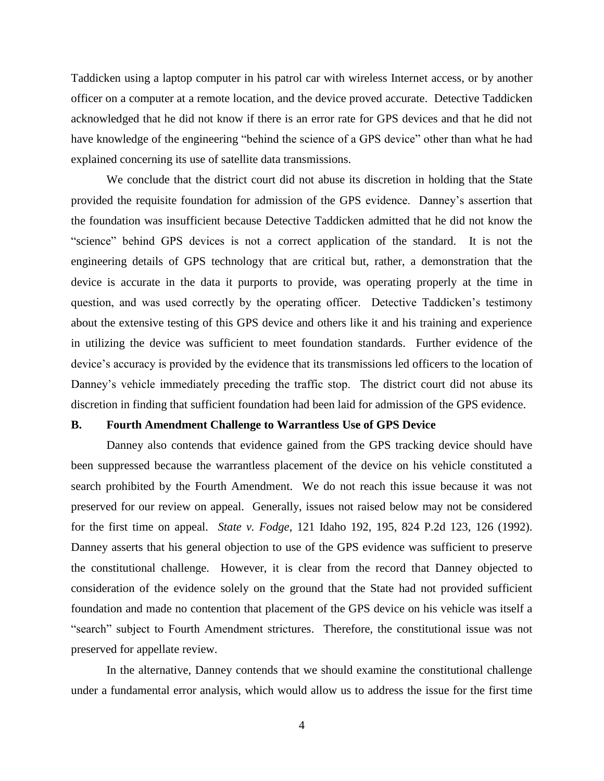Taddicken using a laptop computer in his patrol car with wireless Internet access, or by another officer on a computer at a remote location, and the device proved accurate. Detective Taddicken acknowledged that he did not know if there is an error rate for GPS devices and that he did not have knowledge of the engineering "behind the science of a GPS device" other than what he had explained concerning its use of satellite data transmissions.

We conclude that the district court did not abuse its discretion in holding that the State provided the requisite foundation for admission of the GPS evidence. Danney"s assertion that the foundation was insufficient because Detective Taddicken admitted that he did not know the "science" behind GPS devices is not a correct application of the standard. It is not the engineering details of GPS technology that are critical but, rather, a demonstration that the device is accurate in the data it purports to provide, was operating properly at the time in question, and was used correctly by the operating officer. Detective Taddicken's testimony about the extensive testing of this GPS device and others like it and his training and experience in utilizing the device was sufficient to meet foundation standards. Further evidence of the device"s accuracy is provided by the evidence that its transmissions led officers to the location of Danney's vehicle immediately preceding the traffic stop. The district court did not abuse its discretion in finding that sufficient foundation had been laid for admission of the GPS evidence.

## **B. Fourth Amendment Challenge to Warrantless Use of GPS Device**

Danney also contends that evidence gained from the GPS tracking device should have been suppressed because the warrantless placement of the device on his vehicle constituted a search prohibited by the Fourth Amendment. We do not reach this issue because it was not preserved for our review on appeal. Generally, issues not raised below may not be considered for the first time on appeal. *State v. Fodge*, 121 Idaho 192, 195, 824 P.2d 123, 126 (1992). Danney asserts that his general objection to use of the GPS evidence was sufficient to preserve the constitutional challenge. However, it is clear from the record that Danney objected to consideration of the evidence solely on the ground that the State had not provided sufficient foundation and made no contention that placement of the GPS device on his vehicle was itself a "search" subject to Fourth Amendment strictures. Therefore, the constitutional issue was not preserved for appellate review.

In the alternative, Danney contends that we should examine the constitutional challenge under a fundamental error analysis, which would allow us to address the issue for the first time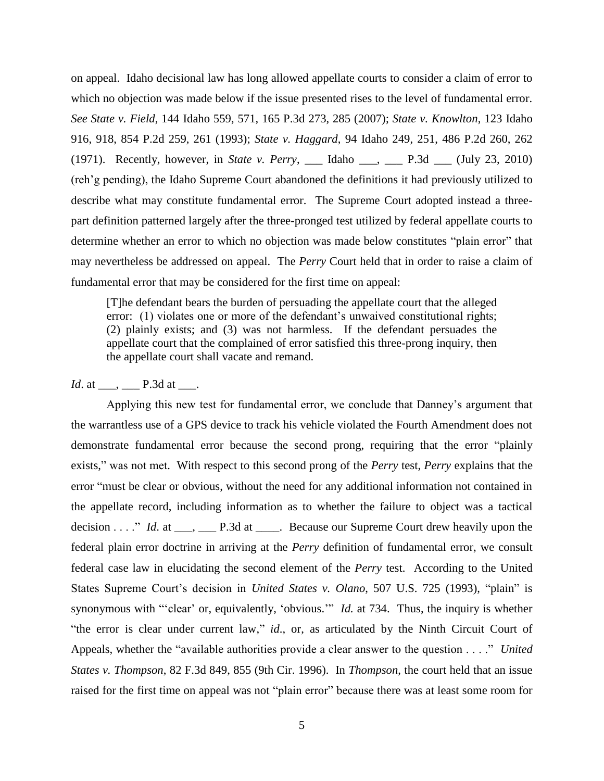on appeal. Idaho decisional law has long allowed appellate courts to consider a claim of error to which no objection was made below if the issue presented rises to the level of fundamental error. *See State v. Field*, 144 Idaho 559, 571, 165 P.3d 273, 285 (2007); *State v. Knowlton*, 123 Idaho 916, 918, 854 P.2d 259, 261 (1993); *State v. Haggard*, 94 Idaho 249, 251, 486 P.2d 260, 262 (1971). Recently, however, in *State v. Perry*, \_\_\_ Idaho \_\_\_, \_\_\_ P.3d \_\_\_ (July 23, 2010) (reh"g pending), the Idaho Supreme Court abandoned the definitions it had previously utilized to describe what may constitute fundamental error. The Supreme Court adopted instead a threepart definition patterned largely after the three-pronged test utilized by federal appellate courts to determine whether an error to which no objection was made below constitutes "plain error" that may nevertheless be addressed on appeal. The *Perry* Court held that in order to raise a claim of fundamental error that may be considered for the first time on appeal:

[T]he defendant bears the burden of persuading the appellate court that the alleged error: (1) violates one or more of the defendant's unwaived constitutional rights; (2) plainly exists; and (3) was not harmless. If the defendant persuades the appellate court that the complained of error satisfied this three-prong inquiry, then the appellate court shall vacate and remand.

# *Id.* at \_\_\_, \_\_\_\_ P.3d at \_\_\_.

Applying this new test for fundamental error, we conclude that Danney"s argument that the warrantless use of a GPS device to track his vehicle violated the Fourth Amendment does not demonstrate fundamental error because the second prong, requiring that the error "plainly exists," was not met. With respect to this second prong of the *Perry* test, *Perry* explains that the error "must be clear or obvious, without the need for any additional information not contained in the appellate record, including information as to whether the failure to object was a tactical decision . . . ." *Id*. at \_\_\_, \_\_\_ P.3d at \_\_\_\_. Because our Supreme Court drew heavily upon the federal plain error doctrine in arriving at the *Perry* definition of fundamental error, we consult federal case law in elucidating the second element of the *Perry* test. According to the United States Supreme Court's decision in *United States v. Olano*, 507 U.S. 725 (1993), "plain" is synonymous with ""clear" or, equivalently, "obvious."" *Id.* at 734. Thus, the inquiry is whether "the error is clear under current law," *id*., or, as articulated by the Ninth Circuit Court of Appeals, whether the "available authorities provide a clear answer to the question . . . ." *United States v. Thompson*, 82 F.3d 849, 855 (9th Cir. 1996). In *Thompson*, the court held that an issue raised for the first time on appeal was not "plain error" because there was at least some room for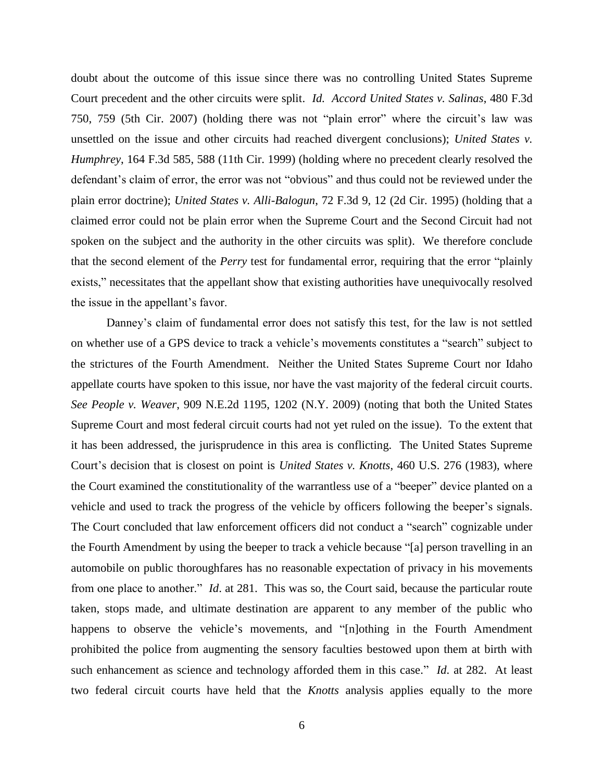doubt about the outcome of this issue since there was no controlling United States Supreme Court precedent and the other circuits were split. *Id. Accord United States v. Salinas*, 480 F.3d 750, 759 (5th Cir. 2007) (holding there was not "plain error" where the circuit's law was unsettled on the issue and other circuits had reached divergent conclusions); *United States v. Humphrey*, 164 F.3d 585, 588 (11th Cir. 1999) (holding where no precedent clearly resolved the defendant's claim of error, the error was not "obvious" and thus could not be reviewed under the plain error doctrine); *United States v. Alli-Balogun*, 72 F.3d 9, 12 (2d Cir. 1995) (holding that a claimed error could not be plain error when the Supreme Court and the Second Circuit had not spoken on the subject and the authority in the other circuits was split). We therefore conclude that the second element of the *Perry* test for fundamental error, requiring that the error "plainly exists," necessitates that the appellant show that existing authorities have unequivocally resolved the issue in the appellant"s favor.

Danney"s claim of fundamental error does not satisfy this test, for the law is not settled on whether use of a GPS device to track a vehicle"s movements constitutes a "search" subject to the strictures of the Fourth Amendment. Neither the United States Supreme Court nor Idaho appellate courts have spoken to this issue, nor have the vast majority of the federal circuit courts. *See People v. Weaver*, 909 N.E.2d 1195, 1202 (N.Y. 2009) (noting that both the United States Supreme Court and most federal circuit courts had not yet ruled on the issue). To the extent that it has been addressed, the jurisprudence in this area is conflicting. The United States Supreme Court's decision that is closest on point is *United States v. Knotts*, 460 U.S. 276 (1983), where the Court examined the constitutionality of the warrantless use of a "beeper" device planted on a vehicle and used to track the progress of the vehicle by officers following the beeper"s signals. The Court concluded that law enforcement officers did not conduct a "search" cognizable under the Fourth Amendment by using the beeper to track a vehicle because "[a] person travelling in an automobile on public thoroughfares has no reasonable expectation of privacy in his movements from one place to another." *Id*. at 281. This was so, the Court said, because the particular route taken, stops made, and ultimate destination are apparent to any member of the public who happens to observe the vehicle's movements, and "[n]othing in the Fourth Amendment prohibited the police from augmenting the sensory faculties bestowed upon them at birth with such enhancement as science and technology afforded them in this case." *Id*. at 282. At least two federal circuit courts have held that the *Knotts* analysis applies equally to the more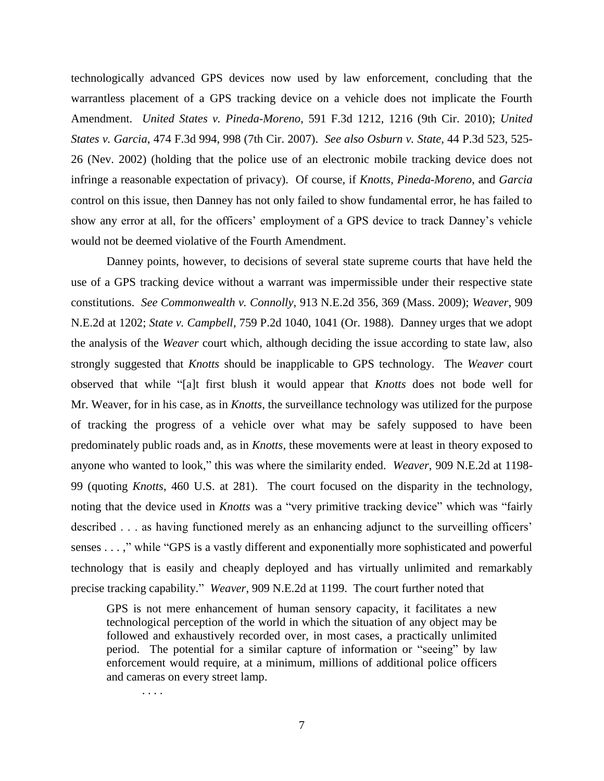technologically advanced GPS devices now used by law enforcement, concluding that the warrantless placement of a GPS tracking device on a vehicle does not implicate the Fourth Amendment. *United States v. Pineda-Moreno*, 591 F.3d 1212, 1216 (9th Cir. 2010); *United States v. Garcia*, 474 F.3d 994, 998 (7th Cir. 2007). *See also Osburn v. State*, [44 P.3d 523, 525-](http://web2.westlaw.com/find/default.wl?vc=0&ordoc=2021078991&rp=%2ffind%2fdefault.wl&DB=4645&SerialNum=2002262457&FindType=Y&AP=&fn=_top&rs=WLW10.02&pbc=4A5345F8&ifm=NotSet&mt=39&vr=2.0&sv=Split) 26 [\(Nev. 2002\)](http://web2.westlaw.com/find/default.wl?vc=0&ordoc=2021078991&rp=%2ffind%2fdefault.wl&DB=4645&SerialNum=2002262457&FindType=Y&AP=&fn=_top&rs=WLW10.02&pbc=4A5345F8&ifm=NotSet&mt=39&vr=2.0&sv=Split) (holding that the police use of an electronic mobile tracking device does not infringe a reasonable expectation of privacy). Of course, if *Knotts*, *Pineda-Moreno*, and *Garcia* control on this issue, then Danney has not only failed to show fundamental error, he has failed to show any error at all, for the officers' employment of a GPS device to track Danney's vehicle would not be deemed violative of the Fourth Amendment.

Danney points, however, to decisions of several state supreme courts that have held the use of a GPS tracking device without a warrant was impermissible under their respective state constitutions. *See Commonwealth v. Connolly*, 913 N.E.2d 356, 369 (Mass. 2009); *Weaver*, 909 N.E.2d at 1202; *State v. Campbell*, [759 P.2d 1040, 1041](http://web2.westlaw.com/find/default.wl?vc=0&ordoc=2021078991&rp=%2ffind%2fdefault.wl&DB=661&SerialNum=1988091438&FindType=Y&AP=&fn=_top&rs=WLW10.02&pbc=4A5345F8&ifm=NotSet&mt=39&vr=2.0&sv=Split) (Or. 1988). Danney urges that we adopt the analysis of the *Weaver* court which, although deciding the issue according to state law, also strongly suggested that *Knotts* should be inapplicable to GPS technology. The *Weaver* court observed that while "[a]t first blush it would appear that *Knotts* does not bode well for Mr. Weaver, for in his case, as in *Knotts*, the surveillance technology was utilized for the purpose of tracking the progress of a vehicle over what may be safely supposed to have been predominately public roads and, as in *Knotts*, these movements were at least in theory exposed to anyone who wanted to look," this was where the similarity ended. *Weaver*, 909 N.E.2d at 1198- 99 (quoting *Knotts*, 460 U.S. at 281). The court focused on the disparity in the technology, noting that the device used in *Knotts* was a "very primitive tracking device" which was "fairly described . . . as having functioned merely as an enhancing adjunct to the surveilling officers' senses . . . ," while "GPS is a vastly different and exponentially more sophisticated and powerful technology that is easily and cheaply deployed and has virtually unlimited and remarkably precise tracking capability." *Weaver*, 909 N.E.2d at 1199. The court further noted that

GPS is not mere enhancement of human sensory capacity, it facilitates a new technological perception of the world in which the situation of any object may be followed and exhaustively recorded over, in most cases, a practically unlimited period. The potential for a similar capture of information or "seeing" by law enforcement would require, at a minimum, millions of additional police officers and cameras on every street lamp.

. . . .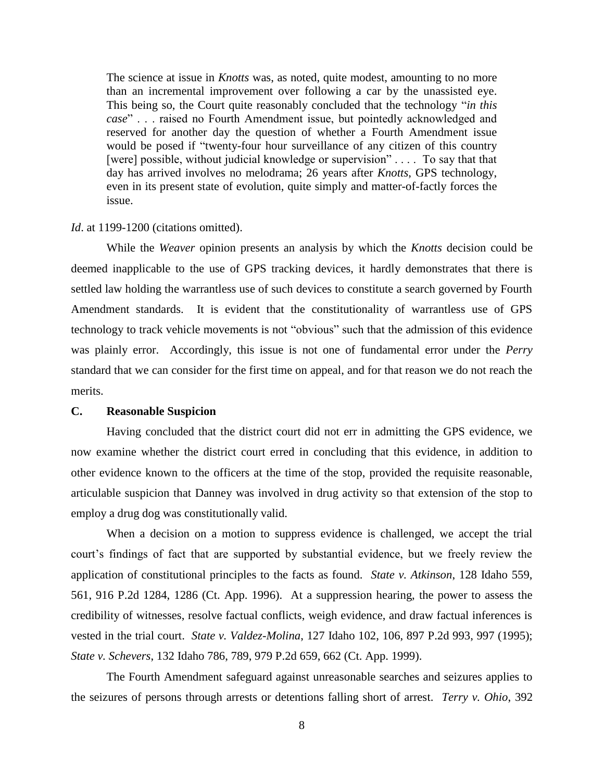The science at issue in *Knotts* was, as noted, quite modest, amounting to no more than an incremental improvement over following a car by the unassisted eye. This being so, the Court quite reasonably concluded that the technology "*in this case*" . . . raised no Fourth Amendment issue, but pointedly acknowledged and reserved for another day the question of whether a Fourth Amendment issue would be posed if "twenty-four hour surveillance of any citizen of this country [were] possible, without judicial knowledge or supervision" . . . . To say that that day has arrived involves no melodrama; 26 years after *Knotts*, GPS technology, even in its present state of evolution, quite simply and matter-of-factly forces the issue.

## *Id*. at 1199-1200 (citations omitted).

While the *Weaver* opinion presents an analysis by which the *Knotts* decision could be deemed inapplicable to the use of GPS tracking devices, it hardly demonstrates that there is settled law holding the warrantless use of such devices to constitute a search governed by Fourth Amendment standards. It is evident that the constitutionality of warrantless use of GPS technology to track vehicle movements is not "obvious" such that the admission of this evidence was plainly error. Accordingly, this issue is not one of fundamental error under the *Perry* standard that we can consider for the first time on appeal, and for that reason we do not reach the merits.

## **C. Reasonable Suspicion**

Having concluded that the district court did not err in admitting the GPS evidence, we now examine whether the district court erred in concluding that this evidence, in addition to other evidence known to the officers at the time of the stop, provided the requisite reasonable, articulable suspicion that Danney was involved in drug activity so that extension of the stop to employ a drug dog was constitutionally valid.

When a decision on a motion to suppress evidence is challenged, we accept the trial court"s findings of fact that are supported by substantial evidence, but we freely review the application of constitutional principles to the facts as found. *State v. Atkinson*, 128 Idaho 559, 561, 916 P.2d 1284, 1286 (Ct. App. 1996). At a suppression hearing, the power to assess the credibility of witnesses, resolve factual conflicts, weigh evidence, and draw factual inferences is vested in the trial court. *State v. Valdez-Molina*, 127 Idaho 102, 106, 897 P.2d 993, 997 (1995); *State v. Schevers*, 132 Idaho 786, 789, 979 P.2d 659, 662 (Ct. App. 1999).

The Fourth Amendment safeguard against unreasonable searches and seizures applies to the seizures of persons through arrests or detentions falling short of arrest. *Terry v. Ohio*, 392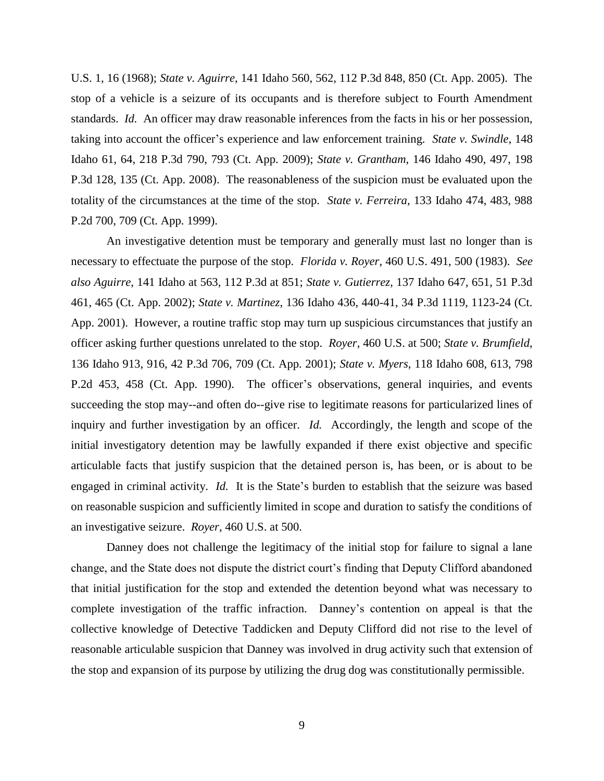U.S. 1, 16 (1968); *State v. Aguirre*, 141 Idaho 560, 562, 112 P.3d 848, 850 (Ct. App. 2005). The stop of a vehicle is a seizure of its occupants and is therefore subject to Fourth Amendment standards. *Id.* An officer may draw reasonable inferences from the facts in his or her possession, taking into account the officer"s experience and law enforcement training. *[State v. Swindle](http://web2.westlaw.com/find/default.wl?tf=-1&rs=WLW10.05&referencepositiontype=S&serialnum=1988081740&fn=_top&sv=Split&referenceposition=1085&pbc=113978F5&tc=-1&ordoc=2020112385&findtype=Y&db=661&vr=2.0&rp=%2ffind%2fdefault.wl&mt=39)*, 148 [Idaho 61, 64, 218 P.3d 790, 793 \(Ct. App. 2009\);](http://web2.westlaw.com/find/default.wl?tf=-1&rs=WLW10.05&referencepositiontype=S&serialnum=1988081740&fn=_top&sv=Split&referenceposition=1085&pbc=113978F5&tc=-1&ordoc=2020112385&findtype=Y&db=661&vr=2.0&rp=%2ffind%2fdefault.wl&mt=39) *State v. Grantham*, 146 Idaho 490, 497, 198 [P.3d 128, 135 \(Ct. App. 2008\).](http://web2.westlaw.com/find/default.wl?tf=-1&rs=WLW10.05&referencepositiontype=S&serialnum=1988081740&fn=_top&sv=Split&referenceposition=1085&pbc=113978F5&tc=-1&ordoc=2020112385&findtype=Y&db=661&vr=2.0&rp=%2ffind%2fdefault.wl&mt=39) The reasonableness of the suspicion must be evaluated upon the totality of the circumstances at the time of the stop. *State v. Ferreira*, 133 Idaho 474, 483, 988 P.2d 700, 709 (Ct. App. 1999).

An investigative detention must be temporary and generally must last no longer than is necessary to effectuate the purpose of the stop. *Florida v. Royer*, [460 U.S. 491, 500](http://web2.westlaw.com/find/default.wl?tf=-1&rs=WLW10.02&referencepositiontype=S&serialnum=1983113926&fn=_top&sv=Split&referenceposition=1325&pbc=8F687C1E&tc=-1&ordoc=2018357088&findtype=Y&db=708&vr=2.0&rp=%2ffind%2fdefault.wl&mt=39) (1983). *See also Aguirre*, [141 Idaho at 563, 112 P.3d at 851;](http://web2.westlaw.com/find/default.wl?tf=-1&rs=WLW10.02&referencepositiontype=S&serialnum=2006603696&fn=_top&sv=Split&referenceposition=851&pbc=8F687C1E&tc=-1&ordoc=2018357088&findtype=Y&db=4645&vr=2.0&rp=%2ffind%2fdefault.wl&mt=39) *State v. Gutierrez*, [137 Idaho 647, 651, 51 P.3d](http://web2.westlaw.com/find/default.wl?tf=-1&rs=WLW10.02&referencepositiontype=S&serialnum=2006603696&fn=_top&sv=Split&referenceposition=851&pbc=8F687C1E&tc=-1&ordoc=2018357088&findtype=Y&db=4645&vr=2.0&rp=%2ffind%2fdefault.wl&mt=39)  [461, 465 \(Ct.](http://web2.westlaw.com/find/default.wl?tf=-1&rs=WLW10.02&referencepositiontype=S&serialnum=2006603696&fn=_top&sv=Split&referenceposition=851&pbc=8F687C1E&tc=-1&ordoc=2018357088&findtype=Y&db=4645&vr=2.0&rp=%2ffind%2fdefault.wl&mt=39) App. 2002); *State v. Martinez*, [136 Idaho 436, 440-41, 34 P.3d 1119, 1123-24 \(Ct.](http://web2.westlaw.com/find/default.wl?tf=-1&rs=WLW10.02&referencepositiontype=S&serialnum=2006603696&fn=_top&sv=Split&referenceposition=851&pbc=8F687C1E&tc=-1&ordoc=2018357088&findtype=Y&db=4645&vr=2.0&rp=%2ffind%2fdefault.wl&mt=39) App. [2001\).](http://web2.westlaw.com/find/default.wl?tf=-1&rs=WLW10.02&referencepositiontype=S&serialnum=2006603696&fn=_top&sv=Split&referenceposition=851&pbc=8F687C1E&tc=-1&ordoc=2018357088&findtype=Y&db=4645&vr=2.0&rp=%2ffind%2fdefault.wl&mt=39) However, a routine traffic stop may turn up suspicious circumstances that justify an officer asking further questions unrelated to the stop. *Royer*, 460 U.S. at 500; *[State v. Brumfield](http://web2.westlaw.com/find/default.wl?tf=-1&rs=WLW10.02&referencepositiontype=S&serialnum=2001558084&fn=_top&sv=Split&referenceposition=709&pbc=7FFA8327&tc=-1&ordoc=2017376094&findtype=Y&db=4645&vr=2.0&rp=%2ffind%2fdefault.wl&mt=39)*, [136 Idaho 913, 916, 42 P.3d 706, 709 \(Ct.](http://web2.westlaw.com/find/default.wl?tf=-1&rs=WLW10.02&referencepositiontype=S&serialnum=2001558084&fn=_top&sv=Split&referenceposition=709&pbc=7FFA8327&tc=-1&ordoc=2017376094&findtype=Y&db=4645&vr=2.0&rp=%2ffind%2fdefault.wl&mt=39) App. 2001); *State v. Myers*, [118 Idaho 608, 613, 798](http://web2.westlaw.com/find/default.wl?tf=-1&rs=WLW10.02&referencepositiontype=S&serialnum=1990110432&fn=_top&sv=Split&referenceposition=458&pbc=7FFA8327&tc=-1&ordoc=2017376094&findtype=Y&db=661&vr=2.0&rp=%2ffind%2fdefault.wl&mt=39)  [P.2d 453, 458 \(Ct.](http://web2.westlaw.com/find/default.wl?tf=-1&rs=WLW10.02&referencepositiontype=S&serialnum=1990110432&fn=_top&sv=Split&referenceposition=458&pbc=7FFA8327&tc=-1&ordoc=2017376094&findtype=Y&db=661&vr=2.0&rp=%2ffind%2fdefault.wl&mt=39) App. 1990). The officer's observations, general inquiries, and events succeeding the stop may--and often do--give rise to legitimate reasons for particularized lines of inquiry and further investigation by an officer. *[Id.](http://web2.westlaw.com/find/default.wl?tf=-1&rs=WLW10.02&serialnum=1990110432&fn=_top&sv=Split&tc=-1&pbc=7FFA8327&ordoc=2017376094&findtype=Y&vr=2.0&rp=%2ffind%2fdefault.wl&mt=39)* Accordingly, the length and scope of the initial investigatory detention may be lawfully expanded if there exist objective and specific articulable facts that justify suspicion that the detained person is, has been, or is about to be engaged in criminal activity. *[Id.](http://web2.westlaw.com/find/default.wl?tf=-1&rs=WLW10.02&serialnum=1990110432&fn=_top&sv=Split&tc=-1&pbc=7FFA8327&ordoc=2017376094&findtype=Y&vr=2.0&rp=%2ffind%2fdefault.wl&mt=39)* It is the State's burden to establish that the seizure was based on reasonable suspicion and sufficiently limited in scope and duration to satisfy the conditions of an investigative seizure. *Royer*, [460 U.S. at 500.](http://web2.westlaw.com/find/default.wl?tf=-1&rs=WLW10.02&referencepositiontype=S&serialnum=1983113926&fn=_top&sv=Split&referenceposition=1326&pbc=8F687C1E&tc=-1&ordoc=2018357088&findtype=Y&db=708&vr=2.0&rp=%2ffind%2fdefault.wl&mt=39) 

Danney does not challenge the legitimacy of the initial stop for failure to signal a lane change, and the State does not dispute the district court"s finding that Deputy Clifford abandoned that initial justification for the stop and extended the detention beyond what was necessary to complete investigation of the traffic infraction. Danney"s contention on appeal is that the collective knowledge of Detective Taddicken and Deputy Clifford did not rise to the level of reasonable articulable suspicion that Danney was involved in drug activity such that extension of the stop and expansion of its purpose by utilizing the drug dog was constitutionally permissible.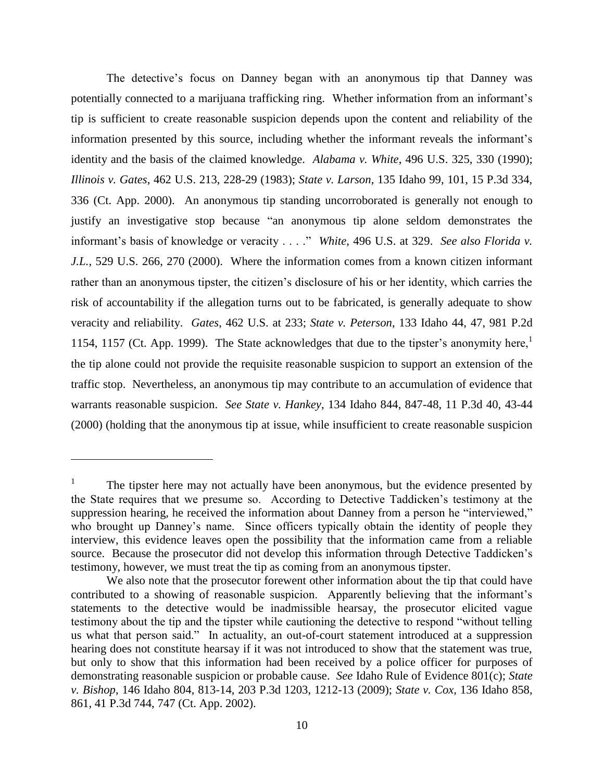The detective's focus on Danney began with an anonymous tip that Danney was potentially connected to a marijuana trafficking ring. Whether information from an informant's tip is sufficient to create reasonable suspicion depends upon the content and reliability of the information presented by this source, including whether the informant reveals the informant"s identity and the basis of the claimed knowledge. *Alabama v. White*, 496 U.S. 325, 330 (1990); *Illinois v. Gates*, 462 U.S. 213, 228-29 (1983); *State v. Larson*, 135 Idaho 99, 101, 15 P.3d 334, 336 (Ct. App. 2000). An anonymous tip standing uncorroborated is generally not enough to justify an investigative stop because "an anonymous tip alone seldom demonstrates the informant's basis of knowledge or veracity . . . ." *White*, 496 U.S. at 329. *See also Florida v. J.L.*, 529 U.S. 266, 270 (2000). Where the information comes from a known citizen informant rather than an anonymous tipster, the citizen"s disclosure of his or her identity, which carries the risk of accountability if the allegation turns out to be fabricated, is generally adequate to show veracity and reliability. *Gates*, 462 U.S. at 233; *State v. Peterson*, 133 Idaho 44, 47, 981 P.2d 1154, 1157 (Ct. App. 1999). The State acknowledges that due to the tipster's anonymity here, the tip alone could not provide the requisite reasonable suspicion to support an extension of the traffic stop. Nevertheless, an anonymous tip may contribute to an accumulation of evidence that warrants reasonable suspicion. *See State v. Hankey*, 134 Idaho 844, 847-48, 11 P.3d 40, 43-44 (2000) (holding that the anonymous tip at issue, while insufficient to create reasonable suspicion

 $\overline{a}$ 

<sup>1</sup> The tipster here may not actually have been anonymous, but the evidence presented by the State requires that we presume so. According to Detective Taddicken"s testimony at the suppression hearing, he received the information about Danney from a person he "interviewed," who brought up Danney's name. Since officers typically obtain the identity of people they interview, this evidence leaves open the possibility that the information came from a reliable source. Because the prosecutor did not develop this information through Detective Taddicken's testimony, however, we must treat the tip as coming from an anonymous tipster.

We also note that the prosecutor forewent other information about the tip that could have contributed to a showing of reasonable suspicion. Apparently believing that the informant's statements to the detective would be inadmissible hearsay, the prosecutor elicited vague testimony about the tip and the tipster while cautioning the detective to respond "without telling us what that person said." In actuality, an out-of-court statement introduced at a suppression hearing does not constitute hearsay if it was not introduced to show that the statement was true, but only to show that this information had been received by a police officer for purposes of demonstrating reasonable suspicion or probable cause. *See* Idaho Rule of Evidence 801(c); *State v. Bishop*, 146 Idaho 804, 813-14, 203 P.3d 1203, 1212-13 (2009); *State v. Cox*, 136 Idaho 858, 861, 41 P.3d 744, 747 (Ct. App. 2002).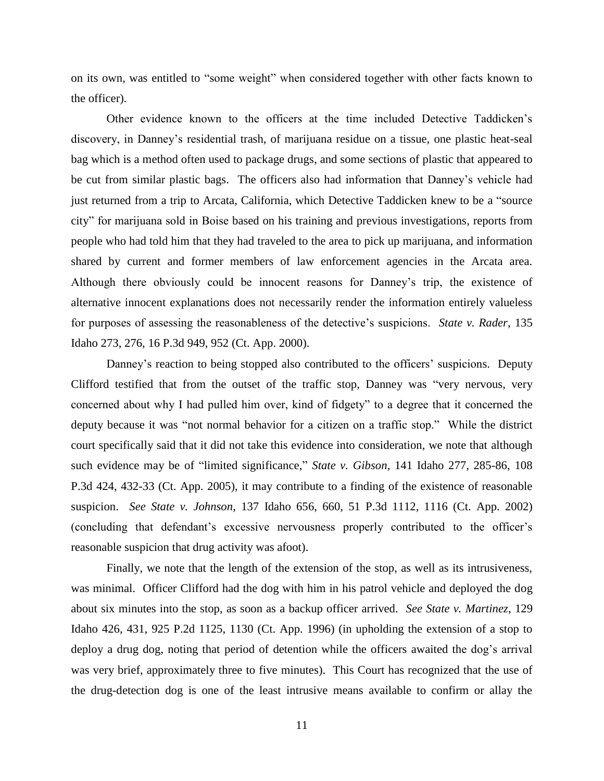on its own, was entitled to "some weight" when considered together with other facts known to the officer).

Other evidence known to the officers at the time included Detective Taddicken"s discovery, in Danney"s residential trash, of marijuana residue on a tissue, one plastic heat-seal bag which is a method often used to package drugs, and some sections of plastic that appeared to be cut from similar plastic bags. The officers also had information that Danney"s vehicle had just returned from a trip to Arcata, California, which Detective Taddicken knew to be a "source city" for marijuana sold in Boise based on his training and previous investigations, reports from people who had told him that they had traveled to the area to pick up marijuana, and information shared by current and former members of law enforcement agencies in the Arcata area. Although there obviously could be innocent reasons for Danney"s trip, the existence of alternative innocent explanations does not necessarily render the information entirely valueless for purposes of assessing the reasonableness of the detective"s suspicions. *State v. Rader*, 135 Idaho 273, 276, 16 P.3d 949, 952 (Ct. App. 2000).

Danney's reaction to being stopped also contributed to the officers' suspicions. Deputy Clifford testified that from the outset of the traffic stop, Danney was "very nervous, very concerned about why I had pulled him over, kind of fidgety" to a degree that it concerned the deputy because it was "not normal behavior for a citizen on a traffic stop." While the district court specifically said that it did not take this evidence into consideration, we note that although such evidence may be of "limited significance," *State v. Gibson*, 141 Idaho 277, 285-86, 108 P.3d 424, 432-33 (Ct. App. 2005), it may contribute to a finding of the existence of reasonable suspicion. *See State v. Johnson*, 137 Idaho 656, 660, 51 P.3d 1112, 1116 (Ct. App. 2002) (concluding that defendant"s excessive nervousness properly contributed to the officer"s reasonable suspicion that drug activity was afoot).

Finally, we note that the length of the extension of the stop, as well as its intrusiveness, was minimal. Officer Clifford had the dog with him in his patrol vehicle and deployed the dog about six minutes into the stop, as soon as a backup officer arrived. *See State v. Martinez*, 129 Idaho 426, 431, 925 P.2d 1125, 1130 (Ct. App. 1996) (in upholding the extension of a stop to deploy a drug dog, noting that period of detention while the officers awaited the dog's arrival was very brief, approximately three to five minutes). This Court has recognized that the use of the drug-detection dog is one of the least intrusive means available to confirm or allay the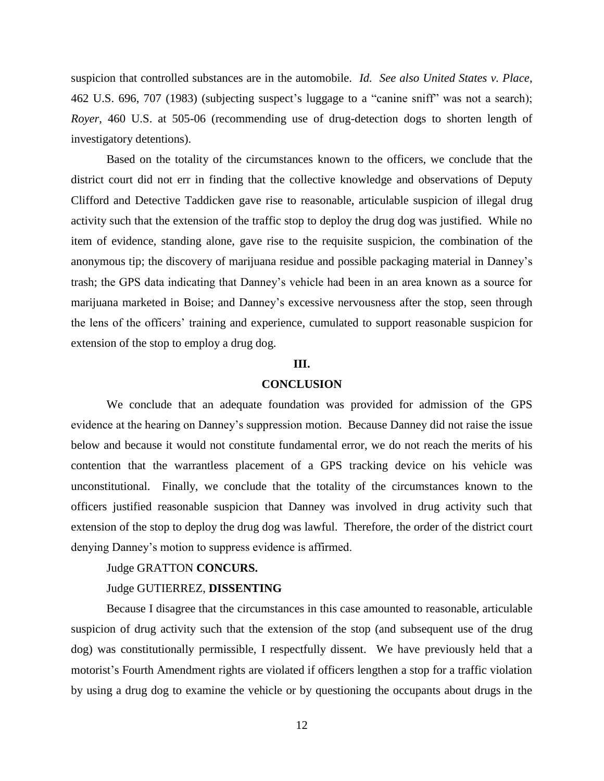suspicion that controlled substances are in the automobile. *Id. See also [United States v. Place](http://web2.westlaw.com/find/default.wl?tf=-1&rs=WLW10.05&serialnum=1983128878&fn=_top&sv=Split&tc=-1&pbc=0724F954&ordoc=1996206779&findtype=Y&db=708&vr=2.0&rp=%2ffind%2fdefault.wl&mt=39)*, [462 U.S. 696, 707](http://web2.westlaw.com/find/default.wl?tf=-1&rs=WLW10.05&serialnum=1983128878&fn=_top&sv=Split&tc=-1&pbc=0724F954&ordoc=1996206779&findtype=Y&db=708&vr=2.0&rp=%2ffind%2fdefault.wl&mt=39) (1983) (subjecting suspect"s luggage to a "canine sniff" was not a search); *Royer*, [460 U.S. at 505-06 \(](http://web2.westlaw.com/find/default.wl?tf=-1&rs=WLW10.05&referencepositiontype=S&serialnum=1983113926&fn=_top&sv=Split&referenceposition=1328&pbc=0724F954&tc=-1&ordoc=1996206779&findtype=Y&db=708&vr=2.0&rp=%2ffind%2fdefault.wl&mt=39)recommending use of drug-detection dogs to shorten length of investigatory detentions).

Based on the totality of the circumstances known to the officers, we conclude that the district court did not err in finding that the collective knowledge and observations of Deputy Clifford and Detective Taddicken gave rise to reasonable, articulable suspicion of illegal drug activity such that the extension of the traffic stop to deploy the drug dog was justified. While no item of evidence, standing alone, gave rise to the requisite suspicion, the combination of the anonymous tip; the discovery of marijuana residue and possible packaging material in Danney"s trash; the GPS data indicating that Danney"s vehicle had been in an area known as a source for marijuana marketed in Boise; and Danney"s excessive nervousness after the stop, seen through the lens of the officers" training and experience, cumulated to support reasonable suspicion for extension of the stop to employ a drug dog.

# **III.**

## **CONCLUSION**

We conclude that an adequate foundation was provided for admission of the GPS evidence at the hearing on Danney"s suppression motion. Because Danney did not raise the issue below and because it would not constitute fundamental error, we do not reach the merits of his contention that the warrantless placement of a GPS tracking device on his vehicle was unconstitutional. Finally, we conclude that the totality of the circumstances known to the officers justified reasonable suspicion that Danney was involved in drug activity such that extension of the stop to deploy the drug dog was lawful. Therefore, the order of the district court denying Danney"s motion to suppress evidence is affirmed.

#### Judge GRATTON **CONCURS.**

## Judge GUTIERREZ, **DISSENTING**

Because I disagree that the circumstances in this case amounted to reasonable, articulable suspicion of drug activity such that the extension of the stop (and subsequent use of the drug dog) was constitutionally permissible, I respectfully dissent. We have previously held that a motorist"s Fourth Amendment rights are violated if officers lengthen a stop for a traffic violation by using a drug dog to examine the vehicle or by questioning the occupants about drugs in the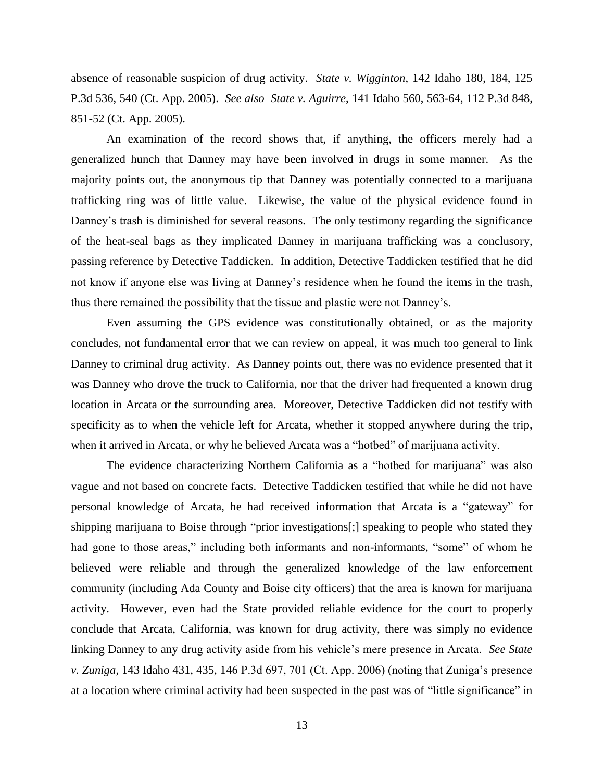absence of reasonable suspicion of drug activity. *State v. Wigginton*, 142 Idaho 180, 184, 125 P.3d 536, 540 (Ct. App. 2005). *See also State v. Aguirre*, 141 Idaho 560, 563-64, 112 P.3d 848, 851-52 (Ct. App. 2005).

An examination of the record shows that, if anything, the officers merely had a generalized hunch that Danney may have been involved in drugs in some manner. As the majority points out, the anonymous tip that Danney was potentially connected to a marijuana trafficking ring was of little value. Likewise, the value of the physical evidence found in Danney's trash is diminished for several reasons. The only testimony regarding the significance of the heat-seal bags as they implicated Danney in marijuana trafficking was a conclusory, passing reference by Detective Taddicken. In addition, Detective Taddicken testified that he did not know if anyone else was living at Danney"s residence when he found the items in the trash, thus there remained the possibility that the tissue and plastic were not Danney"s.

Even assuming the GPS evidence was constitutionally obtained, or as the majority concludes, not fundamental error that we can review on appeal, it was much too general to link Danney to criminal drug activity. As Danney points out, there was no evidence presented that it was Danney who drove the truck to California, nor that the driver had frequented a known drug location in Arcata or the surrounding area. Moreover, Detective Taddicken did not testify with specificity as to when the vehicle left for Arcata, whether it stopped anywhere during the trip, when it arrived in Arcata, or why he believed Arcata was a "hotbed" of marijuana activity.

The evidence characterizing Northern California as a "hotbed for marijuana" was also vague and not based on concrete facts. Detective Taddicken testified that while he did not have personal knowledge of Arcata, he had received information that Arcata is a "gateway" for shipping marijuana to Boise through "prior investigations[;] speaking to people who stated they had gone to those areas," including both informants and non-informants, "some" of whom he believed were reliable and through the generalized knowledge of the law enforcement community (including Ada County and Boise city officers) that the area is known for marijuana activity. However, even had the State provided reliable evidence for the court to properly conclude that Arcata, California, was known for drug activity, there was simply no evidence linking Danney to any drug activity aside from his vehicle"s mere presence in Arcata. *See State v. Zuniga*, 143 Idaho 431, 435, 146 P.3d 697, 701 (Ct. App. 2006) (noting that Zuniga"s presence at a location where criminal activity had been suspected in the past was of "little significance" in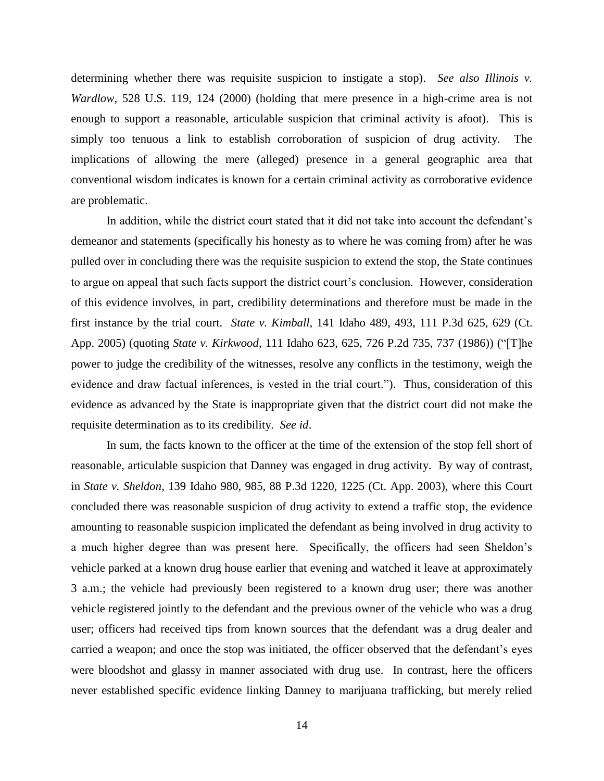determining whether there was requisite suspicion to instigate a stop). *See also Illinois v. Wardlow*, 528 U.S. 119, 124 (2000) (holding that mere presence in a high-crime area is not enough to support a reasonable, articulable suspicion that criminal activity is afoot). This is simply too tenuous a link to establish corroboration of suspicion of drug activity. The implications of allowing the mere (alleged) presence in a general geographic area that conventional wisdom indicates is known for a certain criminal activity as corroborative evidence are problematic.

In addition, while the district court stated that it did not take into account the defendant's demeanor and statements (specifically his honesty as to where he was coming from) after he was pulled over in concluding there was the requisite suspicion to extend the stop, the State continues to argue on appeal that such facts support the district court's conclusion. However, consideration of this evidence involves, in part, credibility determinations and therefore must be made in the first instance by the trial court. *State v. Kimball*, 141 Idaho 489, 493, 111 P.3d 625, 629 (Ct. App. 2005) (quoting *State v. Kirkwood*, 111 Idaho 623, 625, 726 P.2d 735, 737 (1986)) ("[T]he power to judge the credibility of the witnesses, resolve any conflicts in the testimony, weigh the evidence and draw factual inferences, is vested in the trial court."). Thus, consideration of this evidence as advanced by the State is inappropriate given that the district court did not make the requisite determination as to its credibility. *See id*.

In sum, the facts known to the officer at the time of the extension of the stop fell short of reasonable, articulable suspicion that Danney was engaged in drug activity. By way of contrast, in *State v. Sheldon*, 139 Idaho 980, 985, 88 P.3d 1220, 1225 (Ct. App. 2003), where this Court concluded there was reasonable suspicion of drug activity to extend a traffic stop, the evidence amounting to reasonable suspicion implicated the defendant as being involved in drug activity to a much higher degree than was present here. Specifically, the officers had seen Sheldon"s vehicle parked at a known drug house earlier that evening and watched it leave at approximately 3 a.m.; the vehicle had previously been registered to a known drug user; there was another vehicle registered jointly to the defendant and the previous owner of the vehicle who was a drug user; officers had received tips from known sources that the defendant was a drug dealer and carried a weapon; and once the stop was initiated, the officer observed that the defendant"s eyes were bloodshot and glassy in manner associated with drug use. In contrast, here the officers never established specific evidence linking Danney to marijuana trafficking, but merely relied